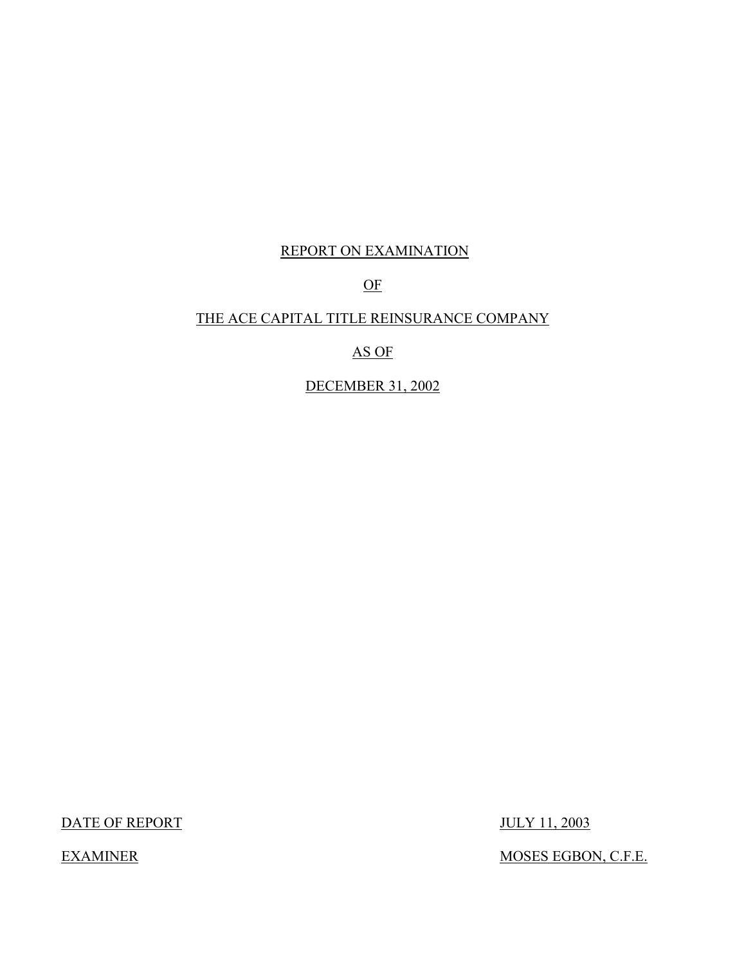## REPORT ON EXAMINATION

OF

## THE ACE CAPITAL TITLE REINSURANCE COMPANY

AS OF

DECEMBER 31, 2002

DATE OF REPORT JULY 11, 2003

EXAMINER MOSES EGBON, C.F.E.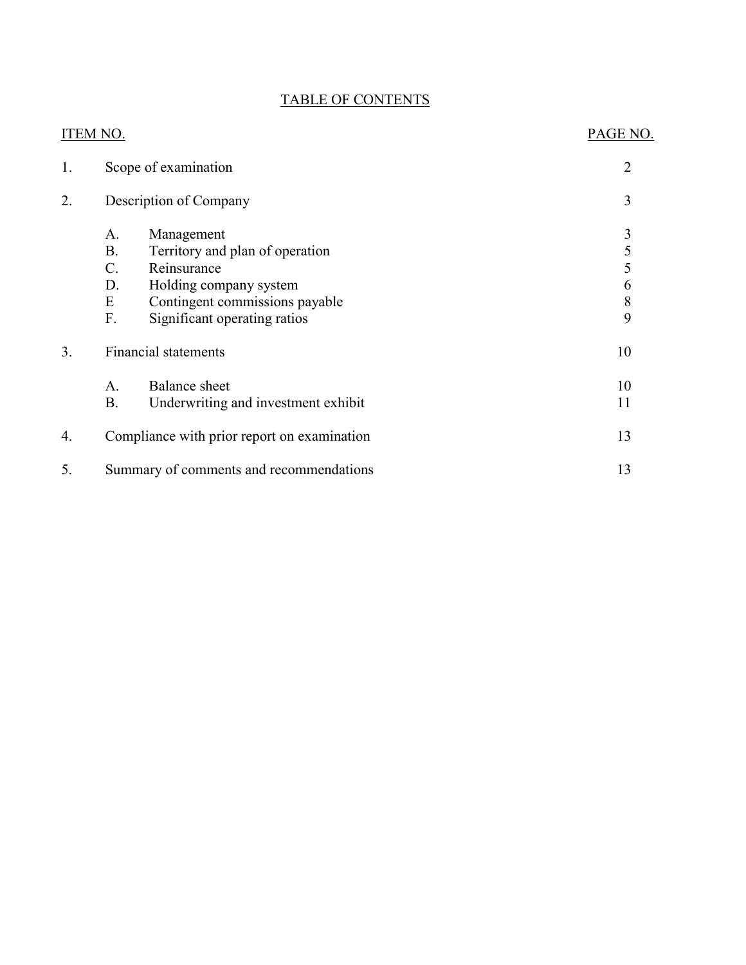## TABLE OF CONTENTS

| <b>ITEM NO.</b> |                                           |                                                                                                                                                          | PAGE NO.                   |
|-----------------|-------------------------------------------|----------------------------------------------------------------------------------------------------------------------------------------------------------|----------------------------|
| 1.              |                                           | Scope of examination                                                                                                                                     | $\overline{2}$             |
| 2.              |                                           | Description of Company                                                                                                                                   | 3                          |
|                 | A.<br><b>B.</b><br>$C$ .<br>D.<br>E<br>F. | Management<br>Territory and plan of operation<br>Reinsurance<br>Holding company system<br>Contingent commissions payable<br>Significant operating ratios | 3<br>5<br>5<br>6<br>8<br>9 |
| 3.              |                                           | <b>Financial statements</b>                                                                                                                              | 10                         |
|                 | A.<br><b>B.</b>                           | <b>Balance</b> sheet<br>Underwriting and investment exhibit                                                                                              | 10<br>11                   |
| 4.              |                                           | Compliance with prior report on examination                                                                                                              | 13                         |
| 5.              |                                           | Summary of comments and recommendations                                                                                                                  | 13                         |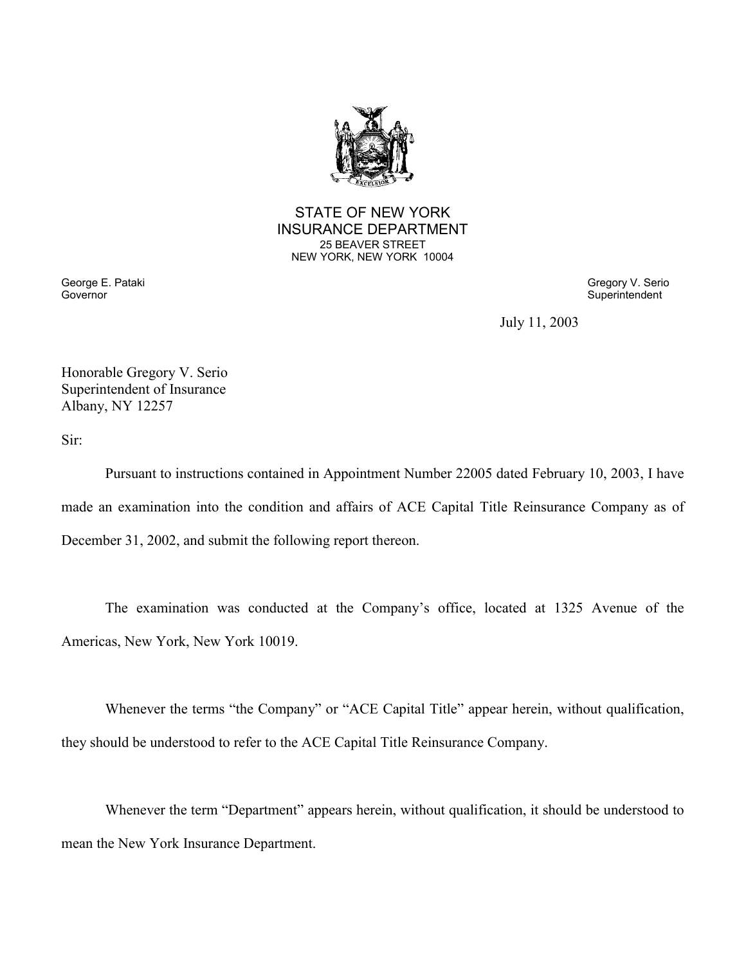

STATE OF NEW YORK INSURANCE DEPARTMENT 25 BEAVER STREET NEW YORK, NEW YORK 10004

George E. Pataki Gregory V. Serio Governor Superintendent Superintendent Superintendent Superintendent Superintendent Superintendent Superintendent

July 11, 2003

Honorable Gregory V. Serio Superintendent of Insurance Albany, NY 12257

Sir:

 made an examination into the condition and affairs of ACE Capital Title Reinsurance Company as of Pursuant to instructions contained in Appointment Number 22005 dated February 10, 2003, I have December 31, 2002, and submit the following report thereon.

The examination was conducted at the Company's office, located at 1325 Avenue of the Americas, New York, New York 10019.

Whenever the terms "the Company" or "ACE Capital Title" appear herein, without qualification, they should be understood to refer to the ACE Capital Title Reinsurance Company.

Whenever the term "Department" appears herein, without qualification, it should be understood to mean the New York Insurance Department.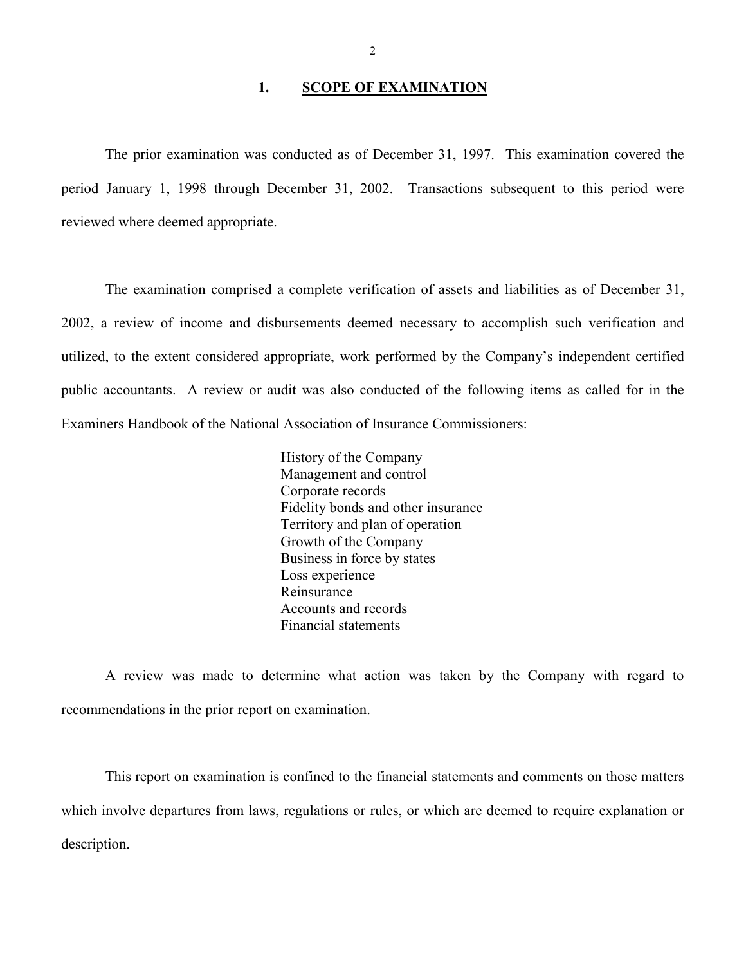#### **1. SCOPE OF EXAMINATION**

<span id="page-3-0"></span>The prior examination was conducted as of December 31, 1997. This examination covered the period January 1, 1998 through December 31, 2002. Transactions subsequent to this period were reviewed where deemed appropriate.

 The examination comprised a complete verification of assets and liabilities as of December 31, 2002, a review of income and disbursements deemed necessary to accomplish such verification and utilized, to the extent considered appropriate, work performed by the Company's independent certified public accountants. A review or audit was also conducted of the following items as called for in the Examiners Handbook of the National Association of Insurance Commissioners:

> History of the Company Management and control Corporate records Fidelity bonds and other insurance Territory and plan of operation Growth of the Company Business in force by states Loss experience Reinsurance Accounts and records Financial statements

A review was made to determine what action was taken by the Company with regard to recommendations in the prior report on examination.

This report on examination is confined to the financial statements and comments on those matters which involve departures from laws, regulations or rules, or which are deemed to require explanation or description.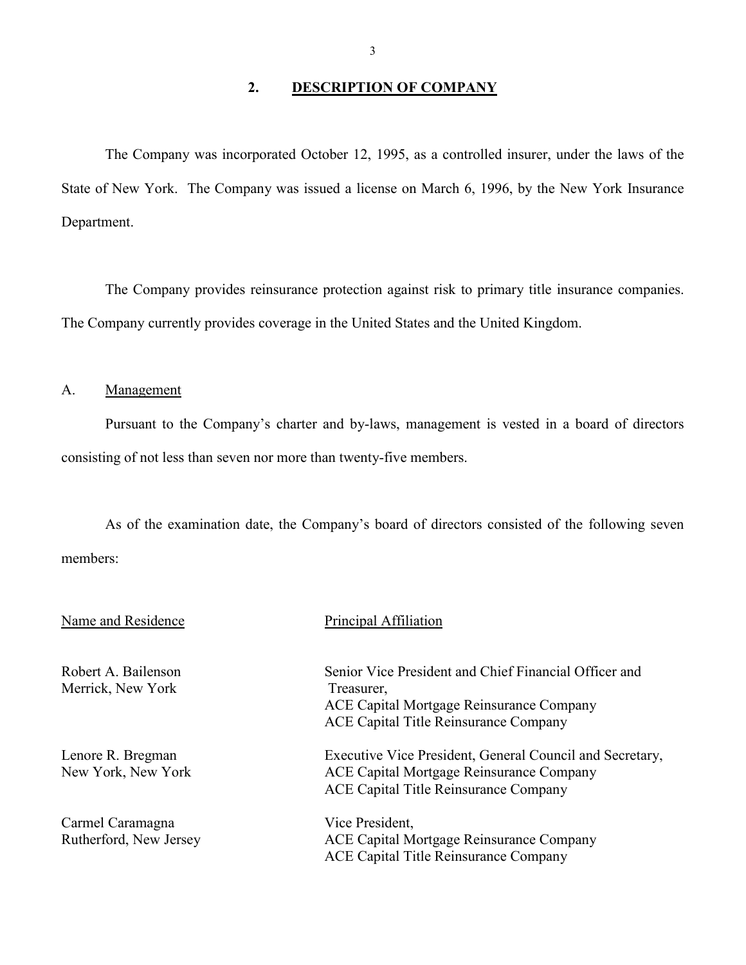## **2. DESCRIPTION OF COMPANY**

<span id="page-4-0"></span>The Company was incorporated October 12, 1995, as a controlled insurer, under the laws of the State of New York. The Company was issued a license on March 6, 1996, by the New York Insurance Department.

 The Company provides reinsurance protection against risk to primary title insurance companies. The Company currently provides coverage in the United States and the United Kingdom.

A. Management

Pursuant to the Company's charter and by-laws, management is vested in a board of directors consisting of not less than seven nor more than twenty-five members.

As of the examination date, the Company's board of directors consisted of the following seven members:

| Name and Residence                         | Principal Affiliation                                                                                                                                    |
|--------------------------------------------|----------------------------------------------------------------------------------------------------------------------------------------------------------|
| Robert A. Bailenson<br>Merrick, New York   | Senior Vice President and Chief Financial Officer and<br>Treasurer,<br>ACE Capital Mortgage Reinsurance Company<br>ACE Capital Title Reinsurance Company |
| Lenore R. Bregman<br>New York, New York    | Executive Vice President, General Council and Secretary,<br>ACE Capital Mortgage Reinsurance Company<br>ACE Capital Title Reinsurance Company            |
| Carmel Caramagna<br>Rutherford, New Jersey | Vice President,<br>ACE Capital Mortgage Reinsurance Company<br>ACE Capital Title Reinsurance Company                                                     |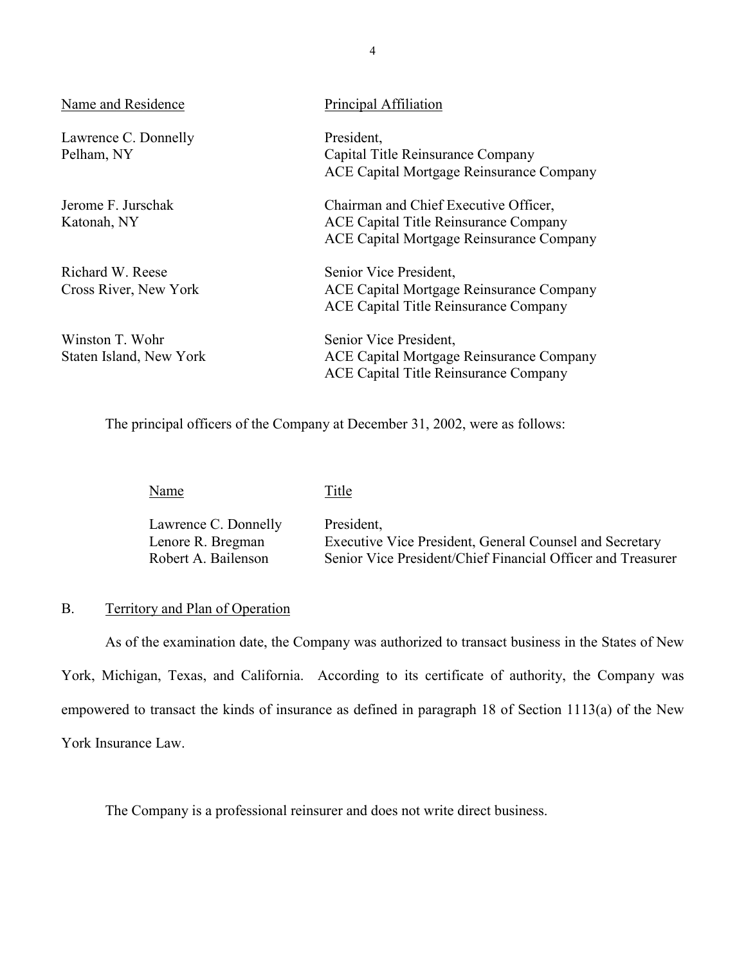| Name and Residence                         | Principal Affiliation                                                                                                      |
|--------------------------------------------|----------------------------------------------------------------------------------------------------------------------------|
| Lawrence C. Donnelly<br>Pelham, NY         | President,<br>Capital Title Reinsurance Company<br>ACE Capital Mortgage Reinsurance Company                                |
| Jerome F. Jurschak<br>Katonah, NY          | Chairman and Chief Executive Officer,<br>ACE Capital Title Reinsurance Company<br>ACE Capital Mortgage Reinsurance Company |
| Richard W. Reese<br>Cross River, New York  | Senior Vice President,<br>ACE Capital Mortgage Reinsurance Company<br>ACE Capital Title Reinsurance Company                |
| Winston T. Wohr<br>Staten Island, New York | Senior Vice President,<br>ACE Capital Mortgage Reinsurance Company<br>ACE Capital Title Reinsurance Company                |

The principal officers of the Company at December 31, 2002, were as follows:

| Name                 | Title                                                       |
|----------------------|-------------------------------------------------------------|
| Lawrence C. Donnelly | President,                                                  |
| Lenore R. Bregman    | Executive Vice President, General Counsel and Secretary     |
| Robert A. Bailenson  | Senior Vice President/Chief Financial Officer and Treasurer |

#### B. Territory and Plan of Operation

As of the examination date, the Company was authorized to transact business in the States of New York, Michigan, Texas, and California. According to its certificate of authority, the Company was empowered to transact the kinds of insurance as defined in paragraph 18 of Section 1113(a) of the New York Insurance Law.

The Company is a professional reinsurer and does not write direct business.

4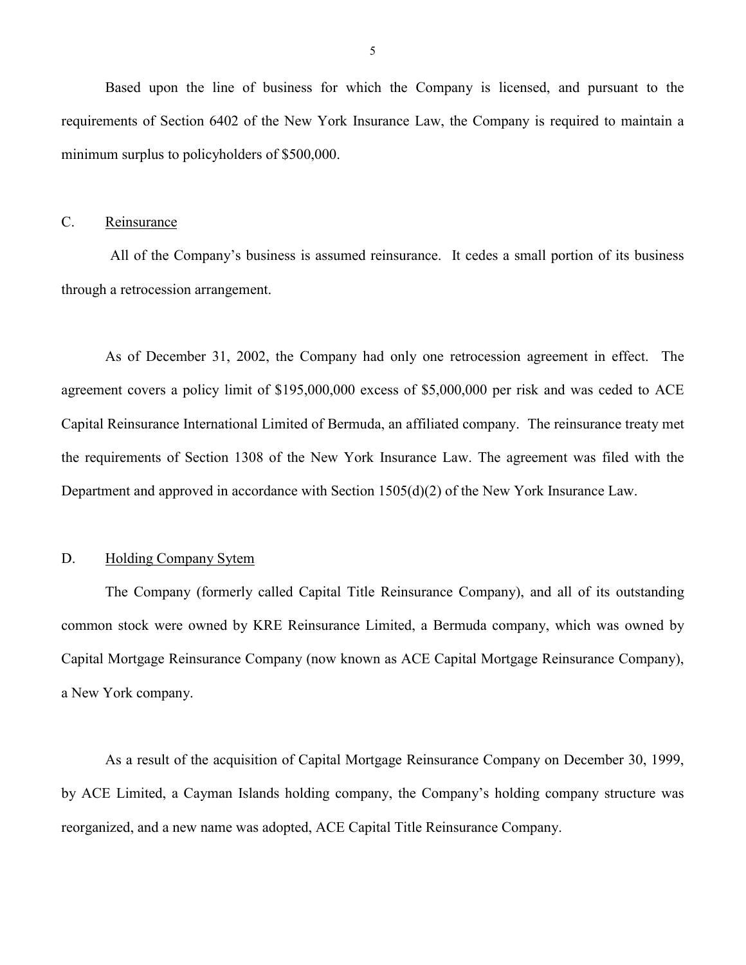<span id="page-6-0"></span>Based upon the line of business for which the Company is licensed, and pursuant to the requirements of Section 6402 of the New York Insurance Law, the Company is required to maintain a minimum surplus to policyholders of \$500,000.

#### C. Reinsurance

 All of the Company's business is assumed reinsurance. It cedes a small portion of its business through a retrocession arrangement.

 Capital Reinsurance International Limited of Bermuda, an affiliated company. The reinsurance treaty met As of December 31, 2002, the Company had only one retrocession agreement in effect. The agreement covers a policy limit of \$195,000,000 excess of \$5,000,000 per risk and was ceded to ACE the requirements of Section 1308 of the New York Insurance Law. The agreement was filed with the Department and approved in accordance with Section 1505(d)(2) of the New York Insurance Law.

#### D. Holding Company Sytem

The Company (formerly called Capital Title Reinsurance Company), and all of its outstanding common stock were owned by KRE Reinsurance Limited, a Bermuda company, which was owned by Capital Mortgage Reinsurance Company (now known as ACE Capital Mortgage Reinsurance Company), a New York company.

 by ACE Limited, a Cayman Islands holding company, the Company's holding company structure was As a result of the acquisition of Capital Mortgage Reinsurance Company on December 30, 1999, reorganized, and a new name was adopted, ACE Capital Title Reinsurance Company.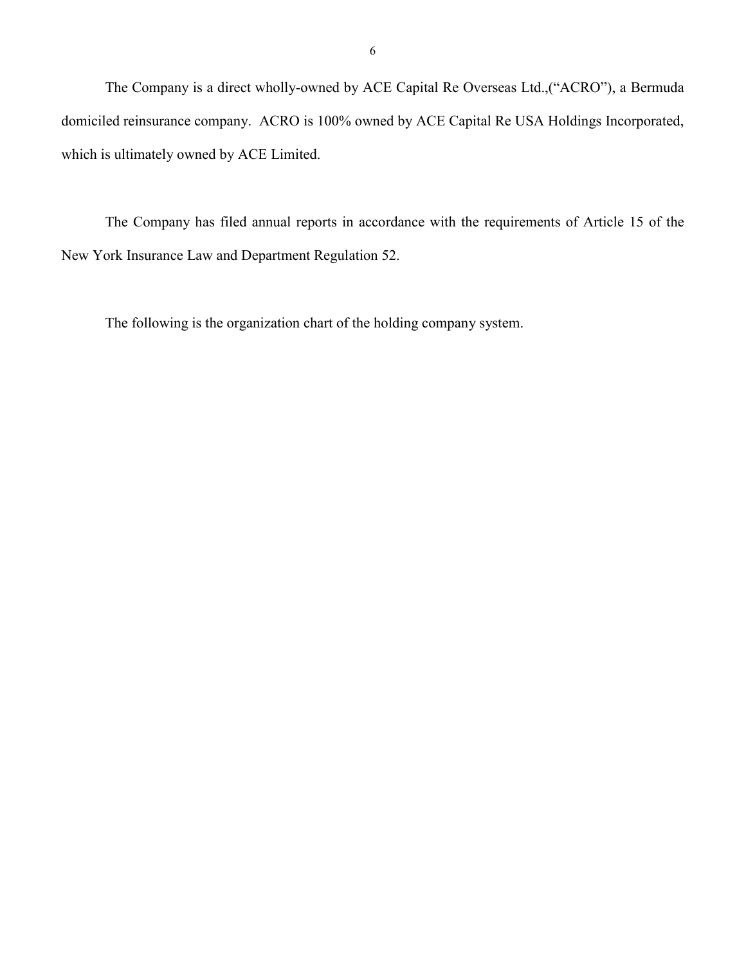<span id="page-7-0"></span> domiciled reinsurance company. ACRO is 100% owned by ACE Capital Re USA Holdings Incorporated, The Company is a direct wholly-owned by ACE Capital Re Overseas Ltd.,("ACRO"), a Bermuda which is ultimately owned by ACE Limited.

The Company has filed annual reports in accordance with the requirements of Article 15 of the New York Insurance Law and Department Regulation 52.

The following is the organization chart of the holding company system.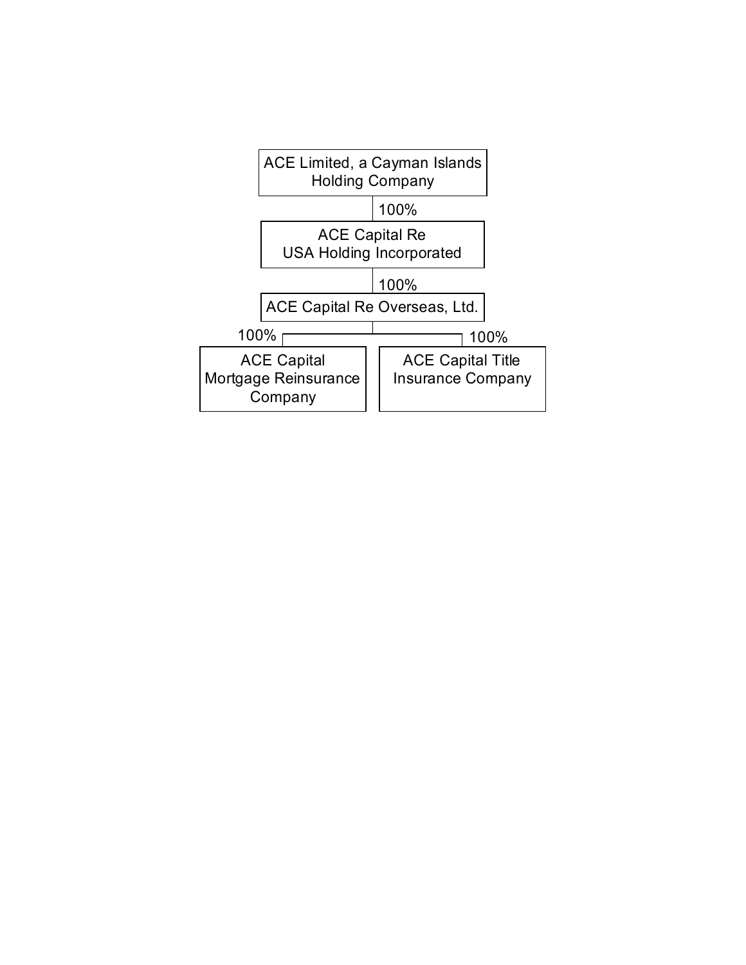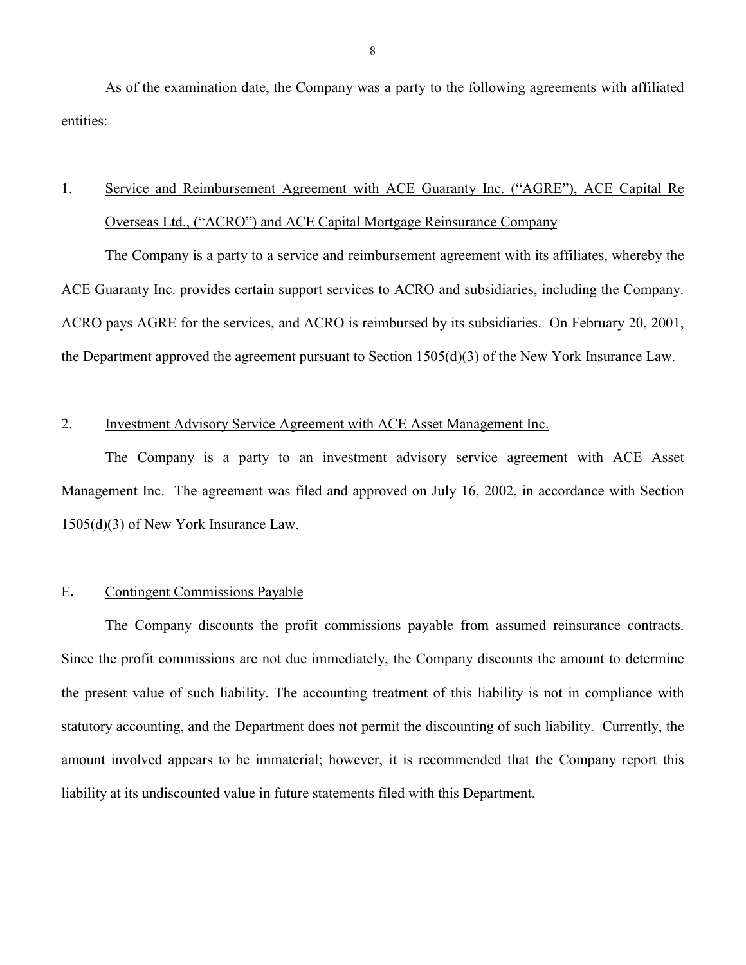<span id="page-9-0"></span> As of the examination date, the Company was a party to the following agreements with affiliated entities:

# 1. Service and Reimbursement Agreement with ACE Guaranty Inc. ("AGRE"), ACE Capital Re Overseas Ltd., ("ACRO") and ACE Capital Mortgage Reinsurance Company

The Company is a party to a service and reimbursement agreement with its affiliates, whereby the ACE Guaranty Inc. provides certain support services to ACRO and subsidiaries, including the Company. ACRO pays AGRE for the services, and ACRO is reimbursed by its subsidiaries. On February 20, 2001, the Department approved the agreement pursuant to Section 1505(d)(3) of the New York Insurance Law.

#### 2. Investment Advisory Service Agreement with ACE Asset Management Inc.

The Company is a party to an investment advisory service agreement with ACE Asset Management Inc. The agreement was filed and approved on July 16, 2002, in accordance with Section 1505(d)(3) of New York Insurance Law.

### E**.** Contingent Commissions Payable

The Company discounts the profit commissions payable from assumed reinsurance contracts. Since the profit commissions are not due immediately, the Company discounts the amount to determine the present value of such liability. The accounting treatment of this liability is not in compliance with statutory accounting, and the Department does not permit the discounting of such liability. Currently, the amount involved appears to be immaterial; however, it is recommended that the Company report this liability at its undiscounted value in future statements filed with this Department.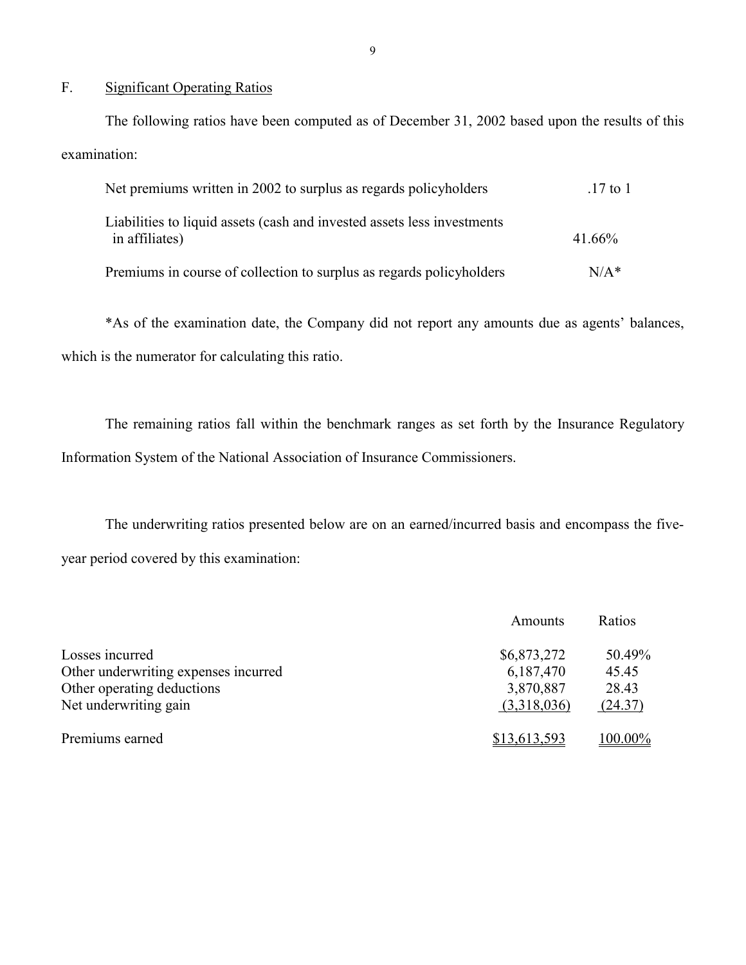#### F. Significant Operating Ratios

The following ratios have been computed as of December 31, 2002 based upon the results of this examination:

| Net premiums written in 2002 to surplus as regards policyholders                          | $.17$ to 1 |
|-------------------------------------------------------------------------------------------|------------|
| Liabilities to liquid assets (cash and invested assets less investments<br>in affiliates) | 41.66%     |
| Premiums in course of collection to surplus as regards policyholders                      | $N/A*$     |

\*As of the examination date, the Company did not report any amounts due as agents' balances, which is the numerator for calculating this ratio.

The remaining ratios fall within the benchmark ranges as set forth by the Insurance Regulatory Information System of the National Association of Insurance Commissioners.

The underwriting ratios presented below are on an earned/incurred basis and encompass the fiveyear period covered by this examination:

|                                      | Amounts      | Ratios  |
|--------------------------------------|--------------|---------|
| Losses incurred                      | \$6,873,272  | 50.49%  |
| Other underwriting expenses incurred | 6,187,470    | 45.45   |
| Other operating deductions           | 3,870,887    | 28.43   |
| Net underwriting gain                | (3,318,036)  | (24.37) |
| Premiums earned                      | \$13,613,593 | 100.00% |

9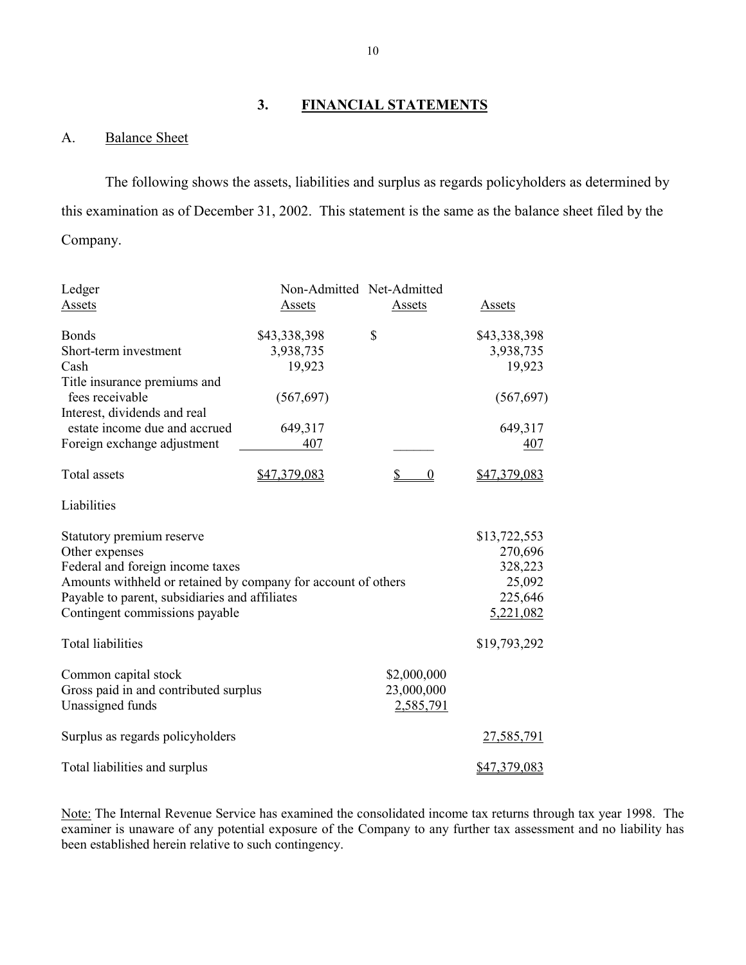## **3. FINANCIAL STATEMENTS**

### A. Balance Sheet

The following shows the assets, liabilities and surplus as regards policyholders as determined by this examination as of December 31, 2002. This statement is the same as the balance sheet filed by the Company.

| Ledger                                                        |              | Non-Admitted Net-Admitted |              |
|---------------------------------------------------------------|--------------|---------------------------|--------------|
| Assets                                                        | Assets       | Assets                    | Assets       |
| <b>Bonds</b>                                                  | \$43,338,398 | \$                        | \$43,338,398 |
| Short-term investment                                         | 3,938,735    |                           | 3,938,735    |
| Cash                                                          | 19,923       |                           | 19,923       |
| Title insurance premiums and<br>fees receivable               | (567, 697)   |                           | (567, 697)   |
| Interest, dividends and real                                  |              |                           |              |
| estate income due and accrued                                 | 649,317      |                           | 649,317      |
| Foreign exchange adjustment                                   | 407          |                           | 407          |
| Total assets                                                  | \$47,379,083 | \$<br>$\overline{0}$      | \$47,379,083 |
| Liabilities                                                   |              |                           |              |
| Statutory premium reserve                                     |              |                           | \$13,722,553 |
| Other expenses                                                |              |                           | 270,696      |
| Federal and foreign income taxes                              |              |                           | 328,223      |
| Amounts withheld or retained by company for account of others |              |                           | 25,092       |
| Payable to parent, subsidiaries and affiliates                |              |                           | 225,646      |
| Contingent commissions payable                                |              |                           | 5,221,082    |
| <b>Total liabilities</b>                                      |              |                           | \$19,793,292 |
| Common capital stock                                          |              | \$2,000,000               |              |
| Gross paid in and contributed surplus                         |              | 23,000,000                |              |
| Unassigned funds                                              |              | 2,585,791                 |              |
| Surplus as regards policyholders                              |              |                           | 27,585,791   |
| Total liabilities and surplus                                 |              |                           | \$47,379,083 |

 examiner is unaware of any potential exposure of the Company to any further tax assessment and no liability has Note: The Internal Revenue Service has examined the consolidated income tax returns through tax year 1998. The been established herein relative to such contingency.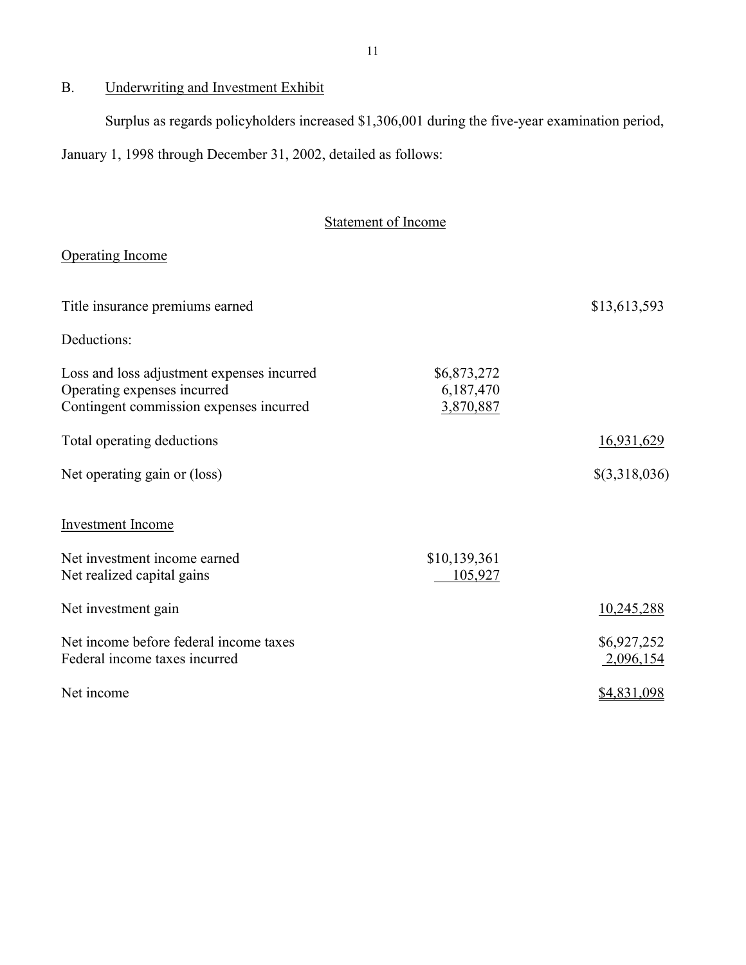## B. Underwriting and Investment Exhibit

Surplus as regards policyholders increased \$1,306,001 during the five-year examination period,

January 1, 1998 through December 31, 2002, detailed as follows:

## Statement of Income

### Operating Income

| Title insurance premiums earned                                                                                      |                                       | \$13,613,593             |
|----------------------------------------------------------------------------------------------------------------------|---------------------------------------|--------------------------|
| Deductions:                                                                                                          |                                       |                          |
| Loss and loss adjustment expenses incurred<br>Operating expenses incurred<br>Contingent commission expenses incurred | \$6,873,272<br>6,187,470<br>3,870,887 |                          |
| Total operating deductions                                                                                           |                                       | 16,931,629               |
| Net operating gain or (loss)                                                                                         |                                       | \$(3,318,036)            |
| <b>Investment Income</b>                                                                                             |                                       |                          |
| Net investment income earned<br>Net realized capital gains                                                           | \$10,139,361<br>105,927               |                          |
| Net investment gain                                                                                                  |                                       | 10,245,288               |
| Net income before federal income taxes<br>Federal income taxes incurred                                              |                                       | \$6,927,252<br>2,096,154 |
| Net income                                                                                                           |                                       | \$4,831,098              |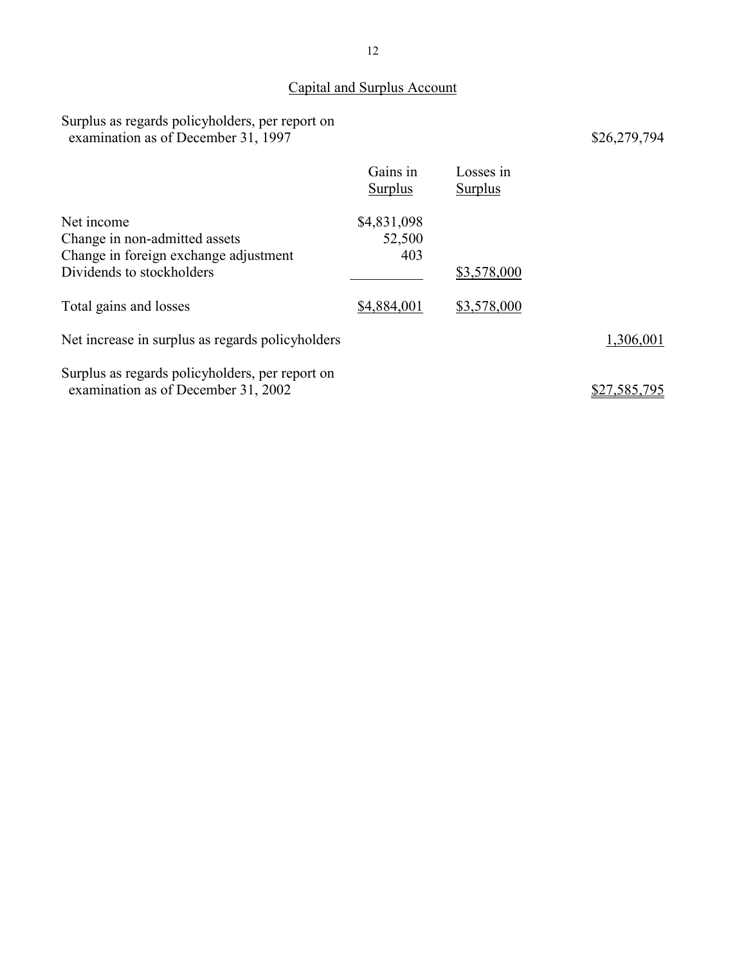## Capital and Surplus Account

Surplus as regards policyholders, per report on examination as of December 31, 1997 \$26,279,794

|                                                                                                                   | Gains in<br><b>Surplus</b>   | Losses in<br><b>Surplus</b> |              |
|-------------------------------------------------------------------------------------------------------------------|------------------------------|-----------------------------|--------------|
| Net income<br>Change in non-admitted assets<br>Change in foreign exchange adjustment<br>Dividends to stockholders | \$4,831,098<br>52,500<br>403 | \$3,578,000                 |              |
| Total gains and losses                                                                                            | \$4,884,001                  | \$3,578,000                 |              |
| Net increase in surplus as regards policyholders                                                                  |                              |                             | 1,306,001    |
| Surplus as regards policyholders, per report on<br>examination as of December 31, 2002                            |                              |                             | \$27,585,795 |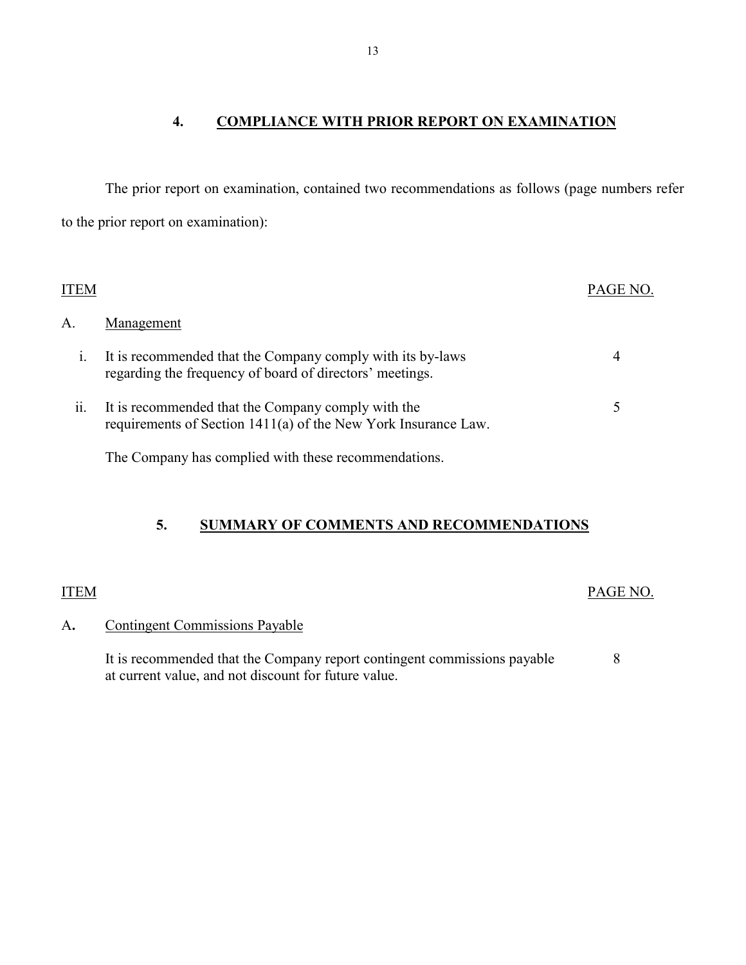## **4. COMPLIANCE WITH PRIOR REPORT ON EXAMINATION**

<span id="page-14-0"></span>The prior report on examination, contained two recommendations as follows (page numbers refer to the prior report on examination):

| ITEM |                                                                                                                        | PAGE NO. |
|------|------------------------------------------------------------------------------------------------------------------------|----------|
| А.   | Management                                                                                                             |          |
| 1.   | It is recommended that the Company comply with its by-laws<br>regarding the frequency of board of directors' meetings. | 4        |
| 11.  | It is recommended that the Company comply with the<br>requirements of Section 1411(a) of the New York Insurance Law.   | 5        |
|      | The Company has complied with these recommendations.                                                                   |          |

## **5. SUMMARY OF COMMENTS AND RECOMMENDATIONS**

## ITEM PAGE NO.

## A**.** Contingent Commissions Payable

It is recommended that the Company report contingent commissions payable 8 at current value, and not discount for future value.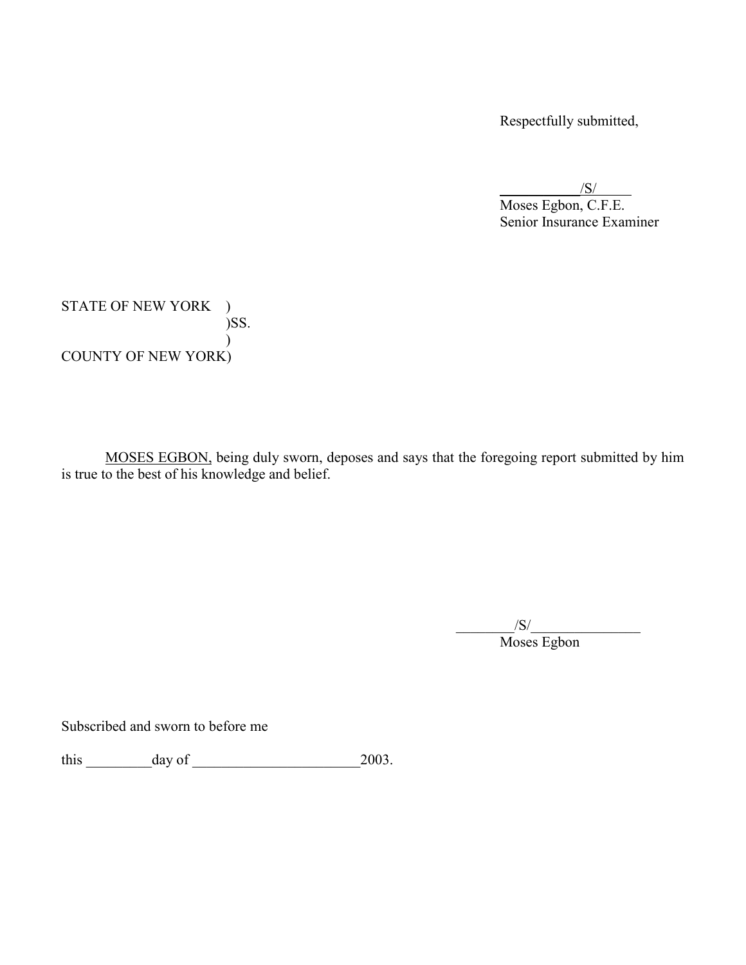Respectfully submitted,

 $\sqrt{S}$ /

Moses Egbon, C.F.E. Senior Insurance Examiner

STATE OF NEW YORK ) )SS. ) COUNTY OF NEW YORK)

MOSES EGBON, being duly sworn, deposes and says that the foregoing report submitted by him is true to the best of his knowledge and belief.

> $/S/$ Moses Egbon

Subscribed and sworn to before me

this  $\_\_\_\_\_\_\_\_\_\_\_\_\_\_\_\_\_2003$ .